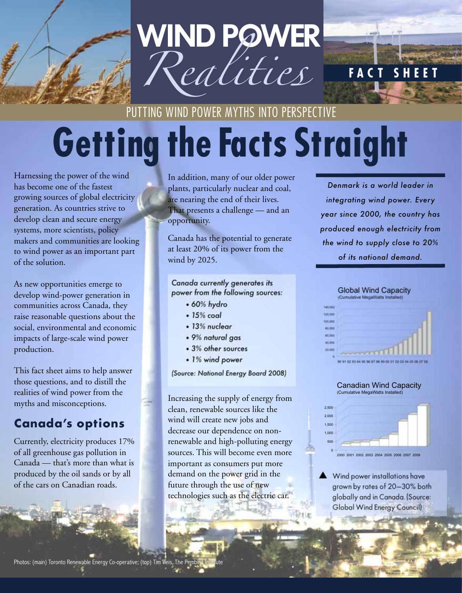

# **Getting the Facts Straight** PUTTING WIND POWER MYTHS INTO PERSPECTIVE

Harnessing the power of the wind has become one of the fastest growing sources of global electricity generation. As countries strive to develop clean and secure energy systems, more scientists, policy makers and communities are looking to wind power as an important part of the solution.

As new opportunities emerge to develop wind-power generation in communities across Canada, they raise reasonable questions about the social, environmental and economic impacts of large-scale wind power production.

This fact sheet aims to help answer those questions, and to distill the realities of wind power from the myths and misconceptions.

### **Canada's options**

Currently, electricity produces 17% of all greenhouse gas pollution in Canada — that's more than what is produced by the oil sands or by all of the cars on Canadian roads.

In addition, many of our older power plants, particularly nuclear and coal, are nearing the end of their lives. That presents a challenge — and an opportunity.

Canada has the potential to generate at least 20% of its power from the wind by 2025.

#### *Canada currently generates its power from the following sources:*

- *•60% hydro*
- *•15% coal*
- *•13% nuclear*
- *•9% natural gas*
- *•3% other sources*
- *•1% wind power*

*(Source: National Energy Board 2008)*

Increasing the supply of energy from clean, renewable sources like the wind will create new jobs and decrease our dependence on nonrenewable and high-polluting energy sources. This will become even more important as consumers put more demand on the power grid in the future through the use of new technologies such as the electric car.

*Denmark is a world leader in integrating wind power. Every year since 2000, the country has produced enough electricity from the wind to supply close to 20% of its national demand.*

**FACT SHEET**



#### Canadian Wind Capacity (Cumulative MegaWatts Installed)



▲ Wind power installations have grown by rates of 20–30% both globally and in Canada. (Source: Global Wind Energy Council)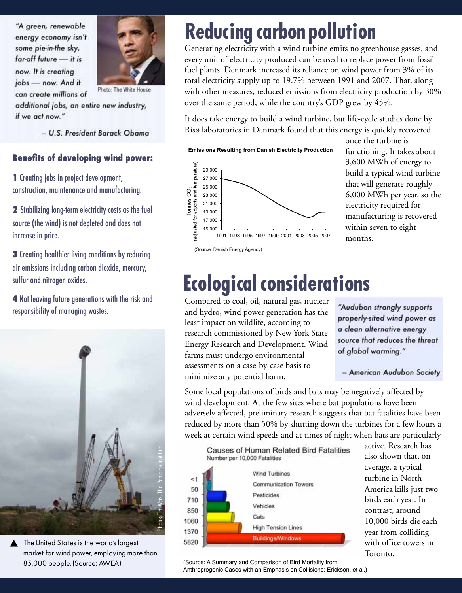*"A green, renewable energy economy isn't some pie-in-the sky, far-off future* — *it is now. It is creating jobs* — *now. And it* 



*can create millions of additional jobs, an entire new industry, if we act now."*

– *U.S. President Barack Obama*

#### **Benefits of developing wind power:**

**1** Creating jobs in project development, construction, maintenance and manufacturing.

**2** Stabilizing long-term electricity costs as the fuel source (the wind) is not depleted and does not increase in price.

**3** Creating healthier living conditions by reducing air emissions including carbon dioxide, mercury, sulfur and nitrogen oxides.

**4** Not leaving future generations with the risk and responsibility of managing wastes.



▲ The United States is the world's largest market for wind power, employing more than 85,000 people. (Source: AWEA)

## **Reducing carbon pollution**

Generating electricity with a wind turbine emits no greenhouse gasses, and every unit of electricity produced can be used to replace power from fossil fuel plants. Denmark increased its reliance on wind power from 3% of its total electricity supply up to 19.7% between 1991 and 2007. That, along with other measures, reduced emissions from electricity production by 30% over the same period, while the country's GDP grew by 45%.

It does take energy to build a wind turbine, but life-cycle studies done by Risø laboratories in Denmark found that this energy is quickly recovered

#### **Emissions Resulting from Danish Electricity Production**



(Source: Danish Energy Agency)

once the turbine is functioning. It takes about 3,600 MWh of energy to build a typical wind turbine that will generate roughly 6,000 MWh per year, so the electricity required for manufacturing is recovered within seven to eight months.

### **Ecological considerations**

Compared to coal, oil, natural gas, nuclear and hydro, wind power generation has the least impact on wildlife, according to research commissioned by New York State Energy Research and Development. Wind farms must undergo environmental assessments on a case-by-case basis to minimize any potential harm.

*"Audubon strongly supports properly-sited wind power as a clean alternative energy source that reduces the threat of global warming."*

– *American Audubon Society*

Some local populations of birds and bats may be negatively affected by wind development. At the few sites where bat populations have been adversely affected, preliminary research suggests that bat fatalities have been reduced by more than 50% by shutting down the turbines for a few hours a week at certain wind speeds and at times of night when bats are particularly



active. Research has also shown that, on average, a typical turbine in North America kills just two birds each year. In contrast, around 10,000 birds die each year from colliding with office towers in Toronto.

 (Source: A Summary and Comparison of Bird Mortality from Anthroprogenic Cases with an Emphasis on Collisions; Erickson, et al.)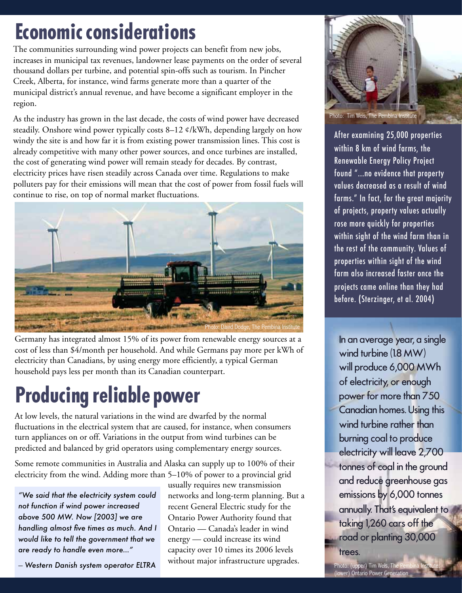## **Economic considerations**

The communities surrounding wind power projects can benefit from new jobs, increases in municipal tax revenues, landowner lease payments on the order of several thousand dollars per turbine, and potential spin-offs such as tourism. In Pincher Creek, Alberta, for instance, wind farms generate more than a quarter of the municipal district's annual revenue, and have become a significant employer in the region.

As the industry has grown in the last decade, the costs of wind power have decreased steadily. Onshore wind power typically costs 8–12 ¢/kWh, depending largely on how windy the site is and how far it is from existing power transmission lines. This cost is already competitive with many other power sources, and once turbines are installed, the cost of generating wind power will remain steady for decades. By contrast, electricity prices have risen steadily across Canada over time. Regulations to make polluters pay for their emissions will mean that the cost of power from fossil fuels will continue to rise, on top of normal market fluctuations.



Germany has integrated almost 15% of its power from renewable energy sources at a cost of less than \$4/month per household. And while Germans pay more per kWh of electricity than Canadians, by using energy more efficiently, a typical German household pays less per month than its Canadian counterpart.

# **Producing reliable power**

At low levels, the natural variations in the wind are dwarfed by the normal fluctuations in the electrical system that are caused, for instance, when consumers turn appliances on or off. Variations in the output from wind turbines can be predicted and balanced by grid operators using complementary energy sources.

Some remote communities in Australia and Alaska can supply up to 100% of their electricity from the wind. Adding more than 5–10% of power to a provincial grid

*"We said that the electricity system could not function if wind power increased above 500 MW. Now [2003] we are handling almost five times as much. And I would like to tell the government that we are ready to handle even more…"*

– *Western Danish system operator ELTRA*

usually requires new transmission networks and long-term planning. But a recent General Electric study for the Ontario Power Authority found that Ontario — Canada's leader in wind energy — could increase its wind capacity over 10 times its 2006 levels without major infrastructure upgrades.



Photo: Tim Weis, The Pembina Institute

After examining 25,000 properties within 8 km of wind farms, the Renewable Energy Policy Project found "...no evidence that property values decreased as a result of wind farms." In fact, for the great majority of projects, property values actually rose more quickly for properties within sight of the wind farm than in the rest of the community. Values of properties within sight of the wind farm also increased faster once the projects came online than they had before. (Sterzinger, et al. 2004)

n an average year, a single wind turbine (1.8 MW) will produce 6,000 MWh of electricity, or enough power for more than 750 Canadian homes. Using this wind turbine rather than burning coal to produce electricity will leave 2,700 tonnes of coal in the ground and reduce greenhouse gas emissions by 6,000 tonnes annually. That's equivalent to taking 1,260 cars off the road or planting 30,000

trees.

Photo: (upper) Tim Weis, The Pembina Institute; (lower) Ontario Power Generation